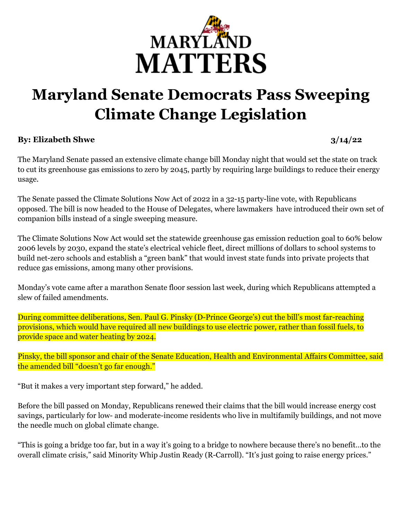

## **Maryland Senate Democrats Pass Sweeping Climate Change Legislation**

## **By: Elizabeth Shwe 3/14/22**

The Maryland Senate passed an extensive climate change bill Monday night that would set the state on track to cut its greenhouse gas emissions to zero by 2045, partly by requiring large buildings to reduce their energy usage.

The Senate passed the Climate [Solutions](https://mgaleg.maryland.gov/mgawebsite/Legislation/Details/sb0528?ys=2022RS) Now Act of 2022 in a 32-15 party-line vote, with Republicans opposed. The bill is now headed to the House of Delegates, where lawmakers have introduced their own set of companion bills instead of a single sweeping measure.

The Climate Solutions Now Act would set the statewide greenhouse gas emission reduction goal to 60% below 2006 levels by 2030, expand the state's electrical vehicle fleet, direct millions of dollars to school systems to build net-zero schools and establish a "green bank" that would invest state funds into private projects that reduce gas emissions, among many other provisions.

Monday's vote came after a [marathon](https://www.marylandmatters.org/2022/03/10/senate-moves-to-pass-climate-solutions-now-act-after-a-marathon-floor-session/) Senate floor session last week, during which Republicans attempted a slew of failed amendments.

During committee deliberations, Sen. Paul G. Pinsky (D-Prince George's) cut the bill's most [far-reaching](https://www.marylandmatters.org/2022/03/07/after-amendments-climate-bill-passes-senate-committee-while-house-bill-faces-resistance-at-hearing/) [provisions,](https://www.marylandmatters.org/2022/03/07/after-amendments-climate-bill-passes-senate-committee-while-house-bill-faces-resistance-at-hearing/) which would have required all new buildings to use electric power, rather than fossil fuels, to provide space and water heating by 2024.

Pinsky, the bill sponsor and chair of the Senate Education, Health and Environmental Affairs Committee, said the amended bill "doesn't go far enough."

"But it makes a very important step forward," he added.

Before the bill passed on Monday, Republicans renewed their claims that the bill would increase energy cost savings, particularly for low- and moderate-income residents who live in multifamily buildings, and not move the needle much on global climate change.

"This is going a bridge too far, but in a way it's going to a bridge to nowhere because there's no benefit…to the overall climate crisis," said Minority Whip Justin Ready (R-Carroll). "It's just going to raise energy prices."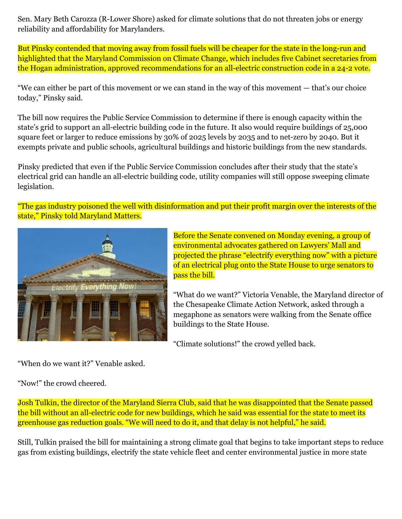Sen. Mary Beth Carozza (R-Lower Shore) asked for climate solutions that do not threaten jobs or energy reliability and affordability for Marylanders.

But Pinsky contended that moving away from fossil fuels will be cheaper for the state in the long-run and highlighted that the Maryland Commission on Climate Change, which includes five Cabinet secretaries from the Hogan administration, approved recommendations for an all-electric construction code in a 24-2 vote.

"We can either be part of this movement or we can stand in the way of this movement — that's our choice today," Pinsky said.

The bill now requires the Public Service Commission to determine if there is enough capacity within the state's grid to support an all-electric building code in the future. It also would require buildings of 25,000 square feet or larger to reduce emissions by 30% of 2025 levels by 2035 and to net-zero by 2040. But it exempts private and public schools, agricultural buildings and historic buildings from the new standards.

Pinsky predicted that even if the Public Service Commission concludes after their study that the state's electrical grid can handle an all-electric building code, utility companies will still oppose sweeping climate legislation.

"The gas industry poisoned the well with disinformation and put their profit margin over the interests of the state," Pinsky told Maryland Matters.



Before the Senate convened on Monday evening, a group of environmental advocates gathered on Lawyers' Mall and projected the phrase "electrify everything now" with a picture of an electrical plug onto the State House to urge senators to pass the bill.

"What do we want?" Victoria Venable, the Maryland director of the Chesapeake Climate Action Network, asked through a megaphone as senators were walking from the Senate office buildings to the State House.

"Climate solutions!" the crowd yelled back.

"When do we want it?" Venable asked.

"Now!" the crowd cheered.

Josh Tulkin, the director of the Maryland Sierra Club, said that he was disappointed that the Senate passed the bill without an all-electric code for new buildings, which he said was essential for the state to meet its greenhouse gas reduction goals. "We will need to do it, and that delay is not helpful," he said.

Still, Tulkin praised the bill for maintaining a strong climate goal that begins to take important steps to reduce gas from existing buildings, electrify the state vehicle fleet and center environmental justice in more state